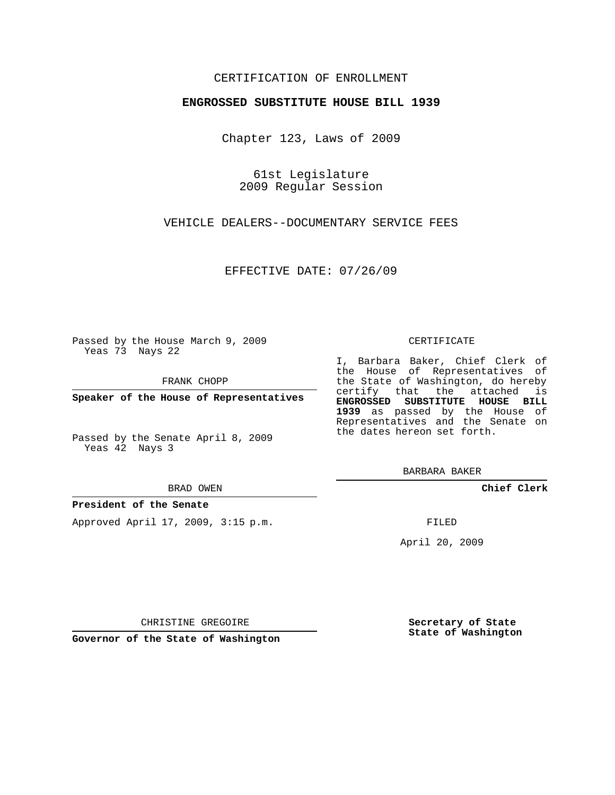## CERTIFICATION OF ENROLLMENT

### **ENGROSSED SUBSTITUTE HOUSE BILL 1939**

Chapter 123, Laws of 2009

61st Legislature 2009 Regular Session

VEHICLE DEALERS--DOCUMENTARY SERVICE FEES

EFFECTIVE DATE: 07/26/09

Passed by the House March 9, 2009 Yeas 73 Nays 22

FRANK CHOPP

**Speaker of the House of Representatives**

Passed by the Senate April 8, 2009 Yeas 42 Nays 3

### **President of the Senate**

Approved April 17, 2009, 3:15 p.m.

#### CERTIFICATE

I, Barbara Baker, Chief Clerk of the House of Representatives of the State of Washington, do hereby certify that the attached is **ENGROSSED SUBSTITUTE HOUSE BILL 1939** as passed by the House of Representatives and the Senate on the dates hereon set forth.

BARBARA BAKER

**Chief Clerk**

FILED

April 20, 2009

**Secretary of State State of Washington**

**Governor of the State of Washington**

CHRISTINE GREGOIRE

BRAD OWEN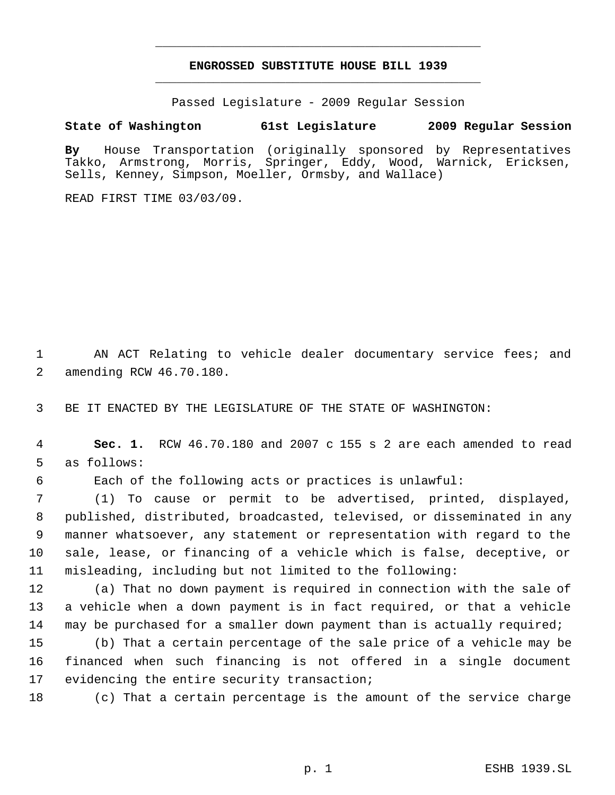# **ENGROSSED SUBSTITUTE HOUSE BILL 1939** \_\_\_\_\_\_\_\_\_\_\_\_\_\_\_\_\_\_\_\_\_\_\_\_\_\_\_\_\_\_\_\_\_\_\_\_\_\_\_\_\_\_\_\_\_

\_\_\_\_\_\_\_\_\_\_\_\_\_\_\_\_\_\_\_\_\_\_\_\_\_\_\_\_\_\_\_\_\_\_\_\_\_\_\_\_\_\_\_\_\_

Passed Legislature - 2009 Regular Session

# **State of Washington 61st Legislature 2009 Regular Session**

**By** House Transportation (originally sponsored by Representatives Takko, Armstrong, Morris, Springer, Eddy, Wood, Warnick, Ericksen, Sells, Kenney, Simpson, Moeller, Ormsby, and Wallace)

READ FIRST TIME 03/03/09.

1 AN ACT Relating to vehicle dealer documentary service fees; and 2 amending RCW 46.70.180.

3 BE IT ENACTED BY THE LEGISLATURE OF THE STATE OF WASHINGTON:

 4 **Sec. 1.** RCW 46.70.180 and 2007 c 155 s 2 are each amended to read 5 as follows:

6 Each of the following acts or practices is unlawful:

 (1) To cause or permit to be advertised, printed, displayed, published, distributed, broadcasted, televised, or disseminated in any manner whatsoever, any statement or representation with regard to the sale, lease, or financing of a vehicle which is false, deceptive, or misleading, including but not limited to the following:

12 (a) That no down payment is required in connection with the sale of 13 a vehicle when a down payment is in fact required, or that a vehicle 14 may be purchased for a smaller down payment than is actually required;

15 (b) That a certain percentage of the sale price of a vehicle may be 16 financed when such financing is not offered in a single document 17 evidencing the entire security transaction;

18 (c) That a certain percentage is the amount of the service charge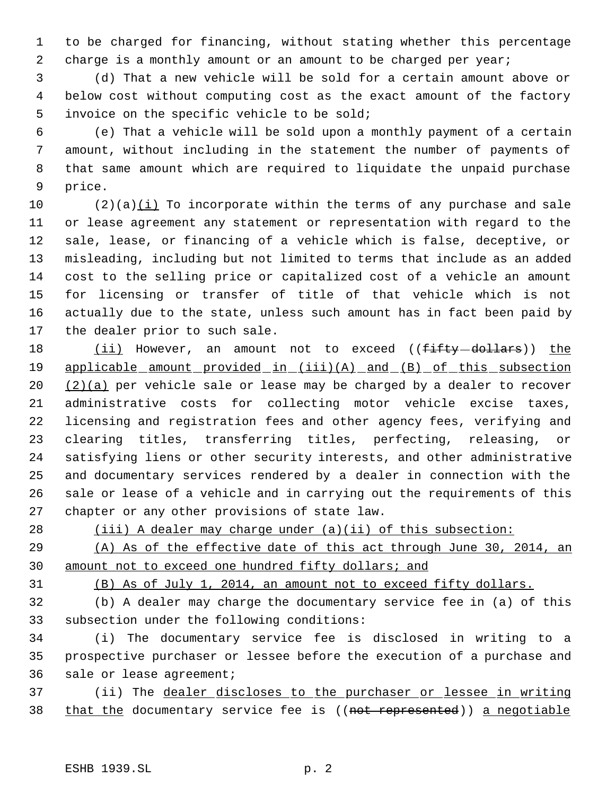to be charged for financing, without stating whether this percentage 2 charge is a monthly amount or an amount to be charged per year;

 (d) That a new vehicle will be sold for a certain amount above or below cost without computing cost as the exact amount of the factory invoice on the specific vehicle to be sold;

 (e) That a vehicle will be sold upon a monthly payment of a certain amount, without including in the statement the number of payments of that same amount which are required to liquidate the unpaid purchase price.

10 (2)(a) $(i)$  To incorporate within the terms of any purchase and sale or lease agreement any statement or representation with regard to the sale, lease, or financing of a vehicle which is false, deceptive, or misleading, including but not limited to terms that include as an added cost to the selling price or capitalized cost of a vehicle an amount for licensing or transfer of title of that vehicle which is not actually due to the state, unless such amount has in fact been paid by the dealer prior to such sale.

18 (ii) However, an amount not to exceed ((fifty-dollars)) the 19 applicable amount provided in (iii)(A) and (B) of this subsection  $(2)(a)$  per vehicle sale or lease may be charged by a dealer to recover administrative costs for collecting motor vehicle excise taxes, licensing and registration fees and other agency fees, verifying and clearing titles, transferring titles, perfecting, releasing, or satisfying liens or other security interests, and other administrative and documentary services rendered by a dealer in connection with the sale or lease of a vehicle and in carrying out the requirements of this chapter or any other provisions of state law.

28 (iii) A dealer may charge under (a)(ii) of this subsection:

 (A) As of the effective date of this act through June 30, 2014, an amount not to exceed one hundred fifty dollars; and

(B) As of July 1, 2014, an amount not to exceed fifty dollars.

 (b) A dealer may charge the documentary service fee in (a) of this subsection under the following conditions:

 (i) The documentary service fee is disclosed in writing to a prospective purchaser or lessee before the execution of a purchase and sale or lease agreement;

 (ii) The dealer discloses to the purchaser or lessee in writing 38 that the documentary service fee is ((not represented)) a negotiable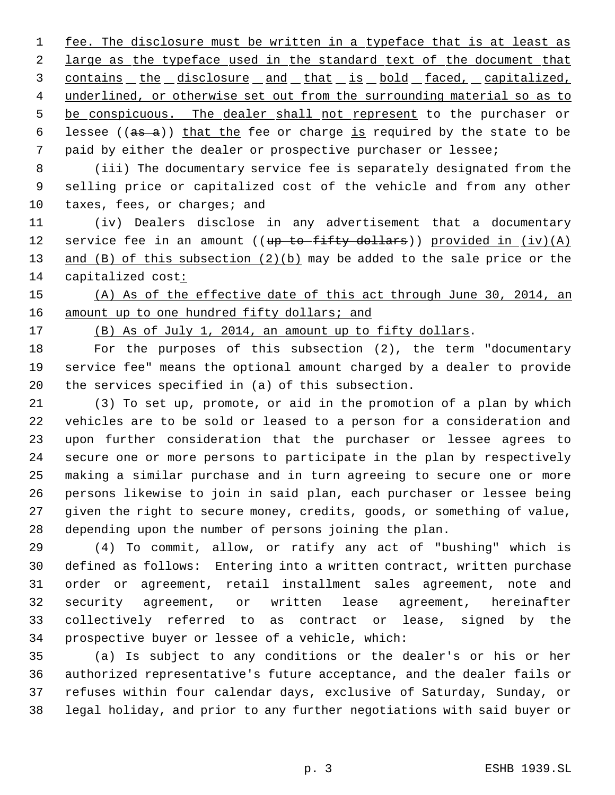1 fee. The disclosure must be written in a typeface that is at least as 2 large as the typeface used in the standard text of the document that 3 contains the disclosure and that is bold faced, capitalized, 4 underlined, or otherwise set out from the surrounding material so as to 5 be conspicuous. The dealer shall not represent to the purchaser or 6 lessee ( $(a\text{s} - a)$ ) that the fee or charge is required by the state to be paid by either the dealer or prospective purchaser or lessee;

 (iii) The documentary service fee is separately designated from the selling price or capitalized cost of the vehicle and from any other 10 taxes, fees, or charges; and

 (iv) Dealers disclose in any advertisement that a documentary 12 service fee in an amount (( $up$  to fifty dollars)) provided in  $(iv)$  (A) 13 and (B) of this subsection  $(2)(b)$  may be added to the sale price or the 14 capitalized cost:

 (A) As of the effective date of this act through June 30, 2014, an 16 amount up to one hundred fifty dollars; and

(B) As of July 1, 2014, an amount up to fifty dollars.

 For the purposes of this subsection (2), the term "documentary service fee" means the optional amount charged by a dealer to provide the services specified in (a) of this subsection.

 (3) To set up, promote, or aid in the promotion of a plan by which vehicles are to be sold or leased to a person for a consideration and upon further consideration that the purchaser or lessee agrees to secure one or more persons to participate in the plan by respectively making a similar purchase and in turn agreeing to secure one or more persons likewise to join in said plan, each purchaser or lessee being given the right to secure money, credits, goods, or something of value, depending upon the number of persons joining the plan.

 (4) To commit, allow, or ratify any act of "bushing" which is defined as follows: Entering into a written contract, written purchase order or agreement, retail installment sales agreement, note and security agreement, or written lease agreement, hereinafter collectively referred to as contract or lease, signed by the prospective buyer or lessee of a vehicle, which:

 (a) Is subject to any conditions or the dealer's or his or her authorized representative's future acceptance, and the dealer fails or refuses within four calendar days, exclusive of Saturday, Sunday, or legal holiday, and prior to any further negotiations with said buyer or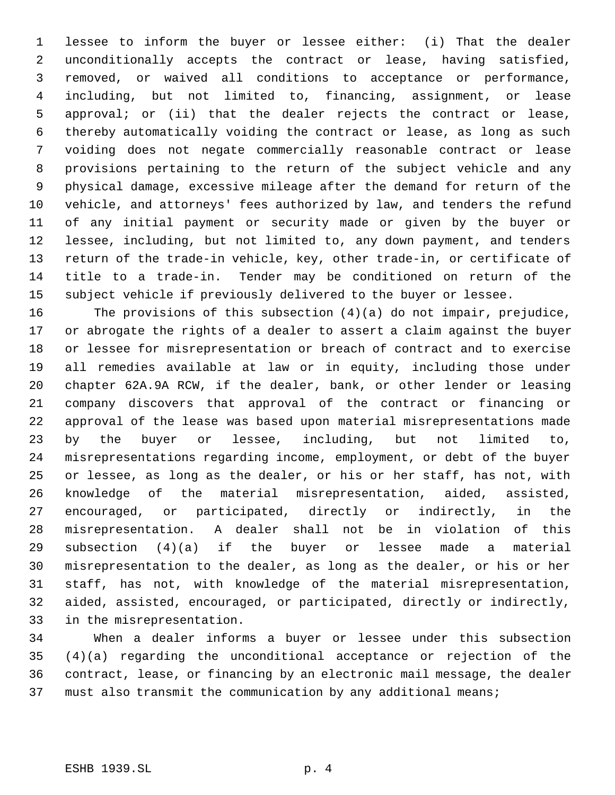lessee to inform the buyer or lessee either: (i) That the dealer unconditionally accepts the contract or lease, having satisfied, removed, or waived all conditions to acceptance or performance, including, but not limited to, financing, assignment, or lease approval; or (ii) that the dealer rejects the contract or lease, thereby automatically voiding the contract or lease, as long as such voiding does not negate commercially reasonable contract or lease provisions pertaining to the return of the subject vehicle and any physical damage, excessive mileage after the demand for return of the vehicle, and attorneys' fees authorized by law, and tenders the refund of any initial payment or security made or given by the buyer or lessee, including, but not limited to, any down payment, and tenders return of the trade-in vehicle, key, other trade-in, or certificate of title to a trade-in. Tender may be conditioned on return of the subject vehicle if previously delivered to the buyer or lessee.

 The provisions of this subsection (4)(a) do not impair, prejudice, or abrogate the rights of a dealer to assert a claim against the buyer or lessee for misrepresentation or breach of contract and to exercise all remedies available at law or in equity, including those under chapter 62A.9A RCW, if the dealer, bank, or other lender or leasing company discovers that approval of the contract or financing or approval of the lease was based upon material misrepresentations made by the buyer or lessee, including, but not limited to, misrepresentations regarding income, employment, or debt of the buyer or lessee, as long as the dealer, or his or her staff, has not, with knowledge of the material misrepresentation, aided, assisted, encouraged, or participated, directly or indirectly, in the misrepresentation. A dealer shall not be in violation of this subsection (4)(a) if the buyer or lessee made a material misrepresentation to the dealer, as long as the dealer, or his or her staff, has not, with knowledge of the material misrepresentation, aided, assisted, encouraged, or participated, directly or indirectly, in the misrepresentation.

 When a dealer informs a buyer or lessee under this subsection (4)(a) regarding the unconditional acceptance or rejection of the contract, lease, or financing by an electronic mail message, the dealer must also transmit the communication by any additional means;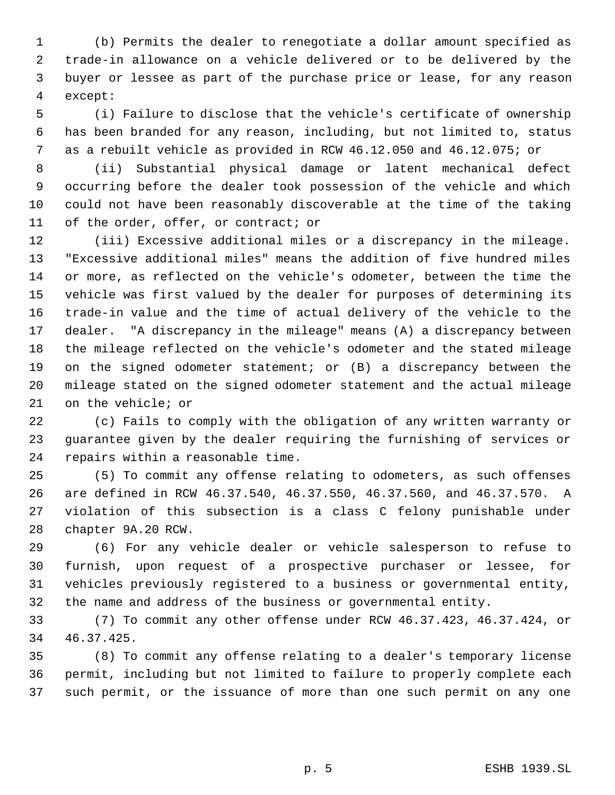(b) Permits the dealer to renegotiate a dollar amount specified as trade-in allowance on a vehicle delivered or to be delivered by the buyer or lessee as part of the purchase price or lease, for any reason except:

 (i) Failure to disclose that the vehicle's certificate of ownership has been branded for any reason, including, but not limited to, status as a rebuilt vehicle as provided in RCW 46.12.050 and 46.12.075; or

 (ii) Substantial physical damage or latent mechanical defect occurring before the dealer took possession of the vehicle and which could not have been reasonably discoverable at the time of the taking of the order, offer, or contract; or

 (iii) Excessive additional miles or a discrepancy in the mileage. "Excessive additional miles" means the addition of five hundred miles or more, as reflected on the vehicle's odometer, between the time the vehicle was first valued by the dealer for purposes of determining its trade-in value and the time of actual delivery of the vehicle to the dealer. "A discrepancy in the mileage" means (A) a discrepancy between the mileage reflected on the vehicle's odometer and the stated mileage on the signed odometer statement; or (B) a discrepancy between the mileage stated on the signed odometer statement and the actual mileage on the vehicle; or

 (c) Fails to comply with the obligation of any written warranty or guarantee given by the dealer requiring the furnishing of services or repairs within a reasonable time.

 (5) To commit any offense relating to odometers, as such offenses are defined in RCW 46.37.540, 46.37.550, 46.37.560, and 46.37.570. A violation of this subsection is a class C felony punishable under chapter 9A.20 RCW.

 (6) For any vehicle dealer or vehicle salesperson to refuse to furnish, upon request of a prospective purchaser or lessee, for vehicles previously registered to a business or governmental entity, the name and address of the business or governmental entity.

 (7) To commit any other offense under RCW 46.37.423, 46.37.424, or 46.37.425.

 (8) To commit any offense relating to a dealer's temporary license permit, including but not limited to failure to properly complete each such permit, or the issuance of more than one such permit on any one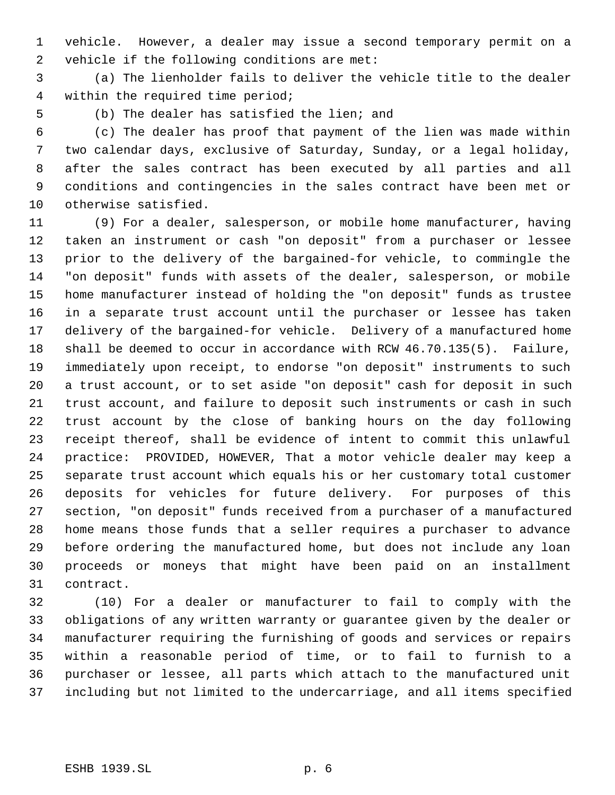vehicle. However, a dealer may issue a second temporary permit on a vehicle if the following conditions are met:

 (a) The lienholder fails to deliver the vehicle title to the dealer within the required time period;

(b) The dealer has satisfied the lien; and

 (c) The dealer has proof that payment of the lien was made within two calendar days, exclusive of Saturday, Sunday, or a legal holiday, after the sales contract has been executed by all parties and all conditions and contingencies in the sales contract have been met or otherwise satisfied.

 (9) For a dealer, salesperson, or mobile home manufacturer, having taken an instrument or cash "on deposit" from a purchaser or lessee prior to the delivery of the bargained-for vehicle, to commingle the "on deposit" funds with assets of the dealer, salesperson, or mobile home manufacturer instead of holding the "on deposit" funds as trustee in a separate trust account until the purchaser or lessee has taken delivery of the bargained-for vehicle. Delivery of a manufactured home shall be deemed to occur in accordance with RCW 46.70.135(5). Failure, immediately upon receipt, to endorse "on deposit" instruments to such a trust account, or to set aside "on deposit" cash for deposit in such trust account, and failure to deposit such instruments or cash in such trust account by the close of banking hours on the day following receipt thereof, shall be evidence of intent to commit this unlawful practice: PROVIDED, HOWEVER, That a motor vehicle dealer may keep a separate trust account which equals his or her customary total customer deposits for vehicles for future delivery. For purposes of this section, "on deposit" funds received from a purchaser of a manufactured home means those funds that a seller requires a purchaser to advance before ordering the manufactured home, but does not include any loan proceeds or moneys that might have been paid on an installment contract.

 (10) For a dealer or manufacturer to fail to comply with the obligations of any written warranty or guarantee given by the dealer or manufacturer requiring the furnishing of goods and services or repairs within a reasonable period of time, or to fail to furnish to a purchaser or lessee, all parts which attach to the manufactured unit including but not limited to the undercarriage, and all items specified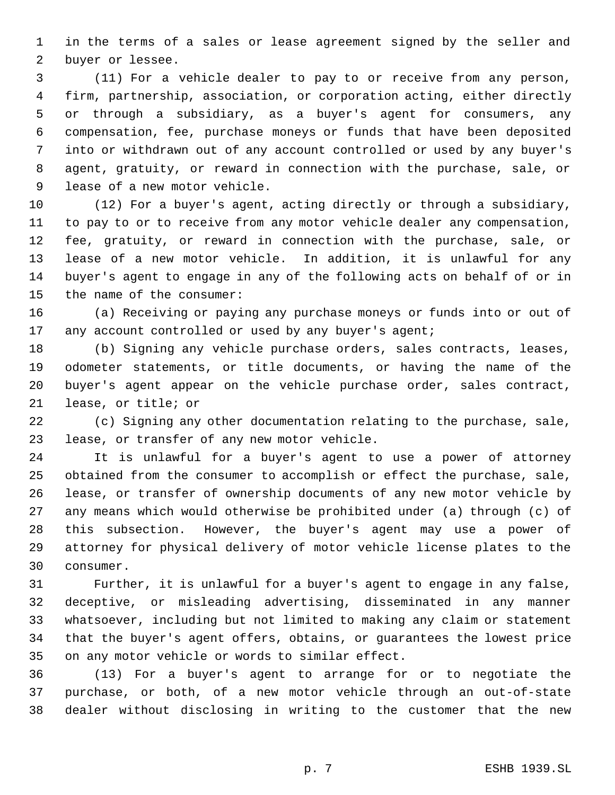in the terms of a sales or lease agreement signed by the seller and buyer or lessee.

 (11) For a vehicle dealer to pay to or receive from any person, firm, partnership, association, or corporation acting, either directly or through a subsidiary, as a buyer's agent for consumers, any compensation, fee, purchase moneys or funds that have been deposited into or withdrawn out of any account controlled or used by any buyer's agent, gratuity, or reward in connection with the purchase, sale, or lease of a new motor vehicle.

 (12) For a buyer's agent, acting directly or through a subsidiary, to pay to or to receive from any motor vehicle dealer any compensation, fee, gratuity, or reward in connection with the purchase, sale, or lease of a new motor vehicle. In addition, it is unlawful for any buyer's agent to engage in any of the following acts on behalf of or in the name of the consumer:

 (a) Receiving or paying any purchase moneys or funds into or out of 17 any account controlled or used by any buyer's agent;

 (b) Signing any vehicle purchase orders, sales contracts, leases, odometer statements, or title documents, or having the name of the buyer's agent appear on the vehicle purchase order, sales contract, lease, or title; or

 (c) Signing any other documentation relating to the purchase, sale, lease, or transfer of any new motor vehicle.

 It is unlawful for a buyer's agent to use a power of attorney obtained from the consumer to accomplish or effect the purchase, sale, lease, or transfer of ownership documents of any new motor vehicle by any means which would otherwise be prohibited under (a) through (c) of this subsection. However, the buyer's agent may use a power of attorney for physical delivery of motor vehicle license plates to the consumer.

 Further, it is unlawful for a buyer's agent to engage in any false, deceptive, or misleading advertising, disseminated in any manner whatsoever, including but not limited to making any claim or statement that the buyer's agent offers, obtains, or guarantees the lowest price on any motor vehicle or words to similar effect.

 (13) For a buyer's agent to arrange for or to negotiate the purchase, or both, of a new motor vehicle through an out-of-state dealer without disclosing in writing to the customer that the new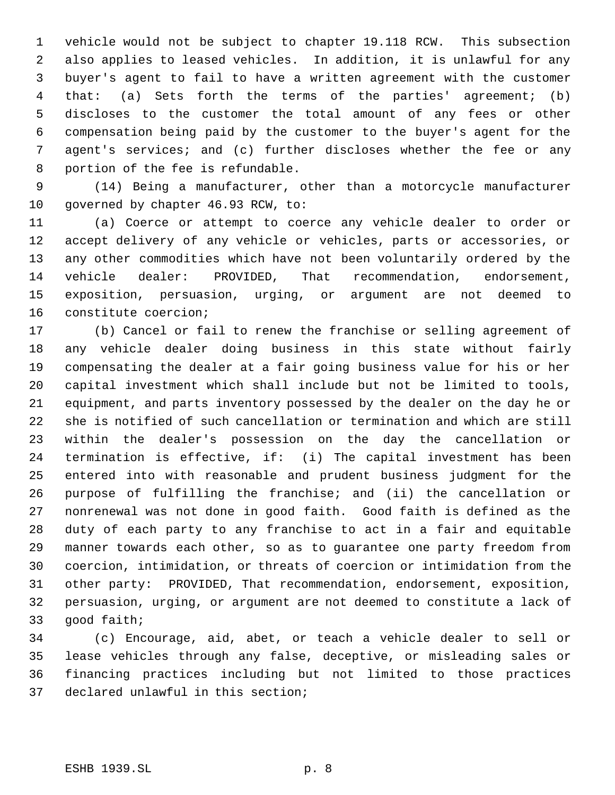vehicle would not be subject to chapter 19.118 RCW. This subsection also applies to leased vehicles. In addition, it is unlawful for any buyer's agent to fail to have a written agreement with the customer that: (a) Sets forth the terms of the parties' agreement; (b) discloses to the customer the total amount of any fees or other compensation being paid by the customer to the buyer's agent for the agent's services; and (c) further discloses whether the fee or any portion of the fee is refundable.

 (14) Being a manufacturer, other than a motorcycle manufacturer 10 governed by chapter 46.93 RCW, to:

 (a) Coerce or attempt to coerce any vehicle dealer to order or accept delivery of any vehicle or vehicles, parts or accessories, or any other commodities which have not been voluntarily ordered by the vehicle dealer: PROVIDED, That recommendation, endorsement, exposition, persuasion, urging, or argument are not deemed to constitute coercion;

 (b) Cancel or fail to renew the franchise or selling agreement of any vehicle dealer doing business in this state without fairly compensating the dealer at a fair going business value for his or her capital investment which shall include but not be limited to tools, equipment, and parts inventory possessed by the dealer on the day he or she is notified of such cancellation or termination and which are still within the dealer's possession on the day the cancellation or termination is effective, if: (i) The capital investment has been entered into with reasonable and prudent business judgment for the purpose of fulfilling the franchise; and (ii) the cancellation or nonrenewal was not done in good faith. Good faith is defined as the duty of each party to any franchise to act in a fair and equitable manner towards each other, so as to guarantee one party freedom from coercion, intimidation, or threats of coercion or intimidation from the other party: PROVIDED, That recommendation, endorsement, exposition, persuasion, urging, or argument are not deemed to constitute a lack of good faith;

 (c) Encourage, aid, abet, or teach a vehicle dealer to sell or lease vehicles through any false, deceptive, or misleading sales or financing practices including but not limited to those practices declared unlawful in this section;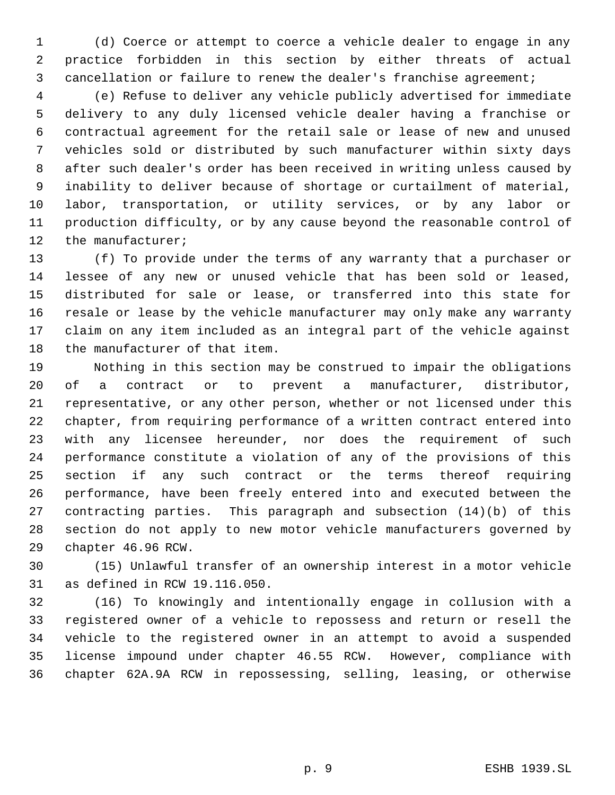(d) Coerce or attempt to coerce a vehicle dealer to engage in any practice forbidden in this section by either threats of actual cancellation or failure to renew the dealer's franchise agreement;

 (e) Refuse to deliver any vehicle publicly advertised for immediate delivery to any duly licensed vehicle dealer having a franchise or contractual agreement for the retail sale or lease of new and unused vehicles sold or distributed by such manufacturer within sixty days after such dealer's order has been received in writing unless caused by inability to deliver because of shortage or curtailment of material, labor, transportation, or utility services, or by any labor or production difficulty, or by any cause beyond the reasonable control of 12 the manufacturer;

 (f) To provide under the terms of any warranty that a purchaser or lessee of any new or unused vehicle that has been sold or leased, distributed for sale or lease, or transferred into this state for resale or lease by the vehicle manufacturer may only make any warranty claim on any item included as an integral part of the vehicle against the manufacturer of that item.

 Nothing in this section may be construed to impair the obligations of a contract or to prevent a manufacturer, distributor, representative, or any other person, whether or not licensed under this chapter, from requiring performance of a written contract entered into with any licensee hereunder, nor does the requirement of such performance constitute a violation of any of the provisions of this section if any such contract or the terms thereof requiring performance, have been freely entered into and executed between the contracting parties. This paragraph and subsection (14)(b) of this section do not apply to new motor vehicle manufacturers governed by chapter 46.96 RCW.

 (15) Unlawful transfer of an ownership interest in a motor vehicle as defined in RCW 19.116.050.

 (16) To knowingly and intentionally engage in collusion with a registered owner of a vehicle to repossess and return or resell the vehicle to the registered owner in an attempt to avoid a suspended license impound under chapter 46.55 RCW. However, compliance with chapter 62A.9A RCW in repossessing, selling, leasing, or otherwise